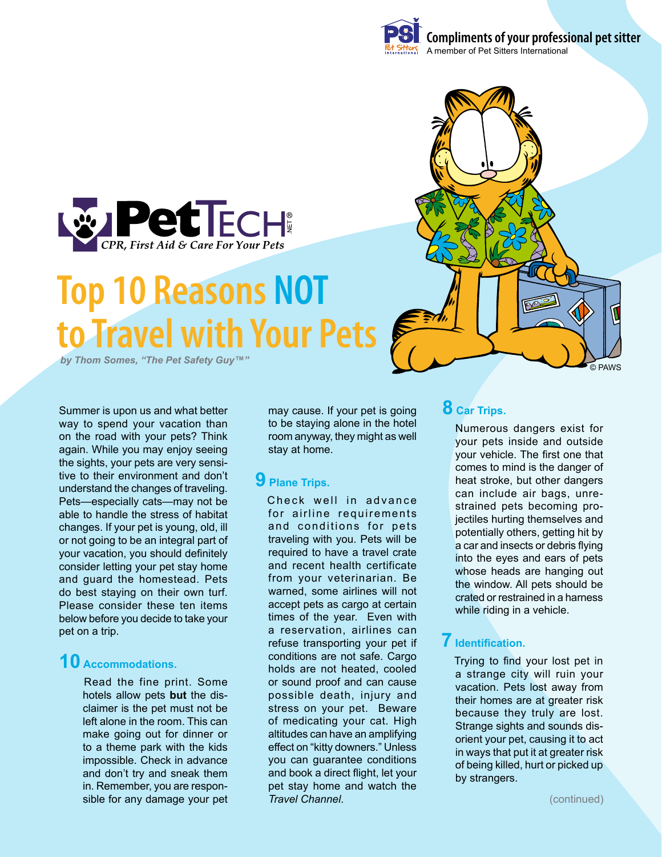

# **Top 10 Reasons NOT to Travel with Your Pets**

**by Thom Somes. "The Pet Safety Guy™"** 

Summer is upon us and what better way to spend your vacation than on the road with your pets? Think again. While you may enjoy seeing the sights, your pets are very sensitive to their environment and don't understand the changes of traveling. Pets—especially cats—may not be able to handle the stress of habitat changes. If your pet is young, old, ill or not going to be an integral part of your vacation, you should definitely consider letting your pet stay home and guard the homestead. Pets do best staying on their own turf. Please consider these ten items below before you decide to take your pet on a trip.

# **10 Accommodations.**

Read the fine print. Some hotels allow pets **but** the disclaimer is the pet must not be left alone in the room. This can make going out for dinner or to a theme park with the kids impossible. Check in advance and don't try and sneak them in. Remember, you are responsible for any damage your pet may cause. If your pet is going to be staying alone in the hotel room anyway, they might as well stay at home.

# **9 Plane Trips.**

Check well in advance for airline requirements and conditions for pets traveling with you. Pets will be required to have a travel crate and recent health certificate from your veterinarian. Be warned, some airlines will not accept pets as cargo at certain times of the year. Even with a reservation, airlines can refuse transporting your pet if conditions are not safe. Cargo holds are not heated, cooled or sound proof and can cause possible death, injury and stress on your pet. Beware of medicating your cat. High altitudes can have an amplifying effect on "kitty downers." Unless you can guarantee conditions and book a direct flight, let your pet stay home and watch the *Travel Channel*.

# **8 Car Trips.**

Numerous dangers exist for your pets inside and outside your vehicle. The first one that comes to mind is the danger of heat stroke, but other dangers can include air bags, unrestrained pets becoming projectiles hurting themselves and potentially others, getting hit by a car and insects or debris flying into the eyes and ears of pets whose heads are hanging out the window. All pets should be crated or restrained in a harness while riding in a vehicle.

### **7 Identification.**

Trying to find your lost pet in a strange city will ruin your vacation. Pets lost away from their homes are at greater risk because they truly are lost. Strange sights and sounds disorient your pet, causing it to act in ways that put it at greater risk of being killed, hurt or picked up by strangers.

(continued)